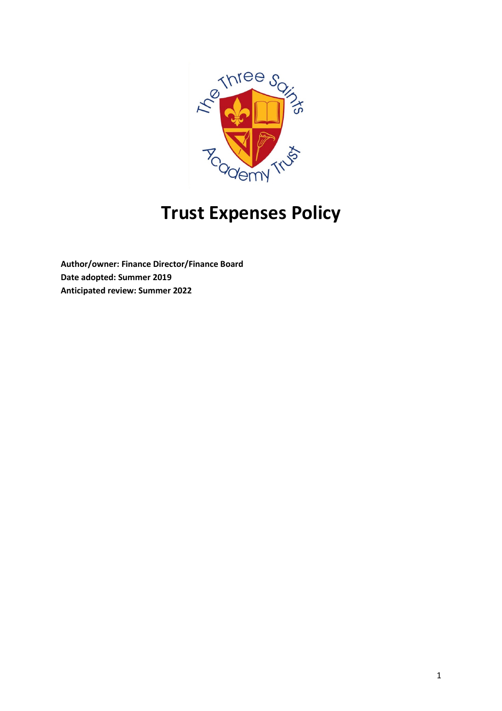

# Trust Expenses Policy

Author/owner: Finance Director/Finance Board Date adopted: Summer 2019 Anticipated review: Summer 2022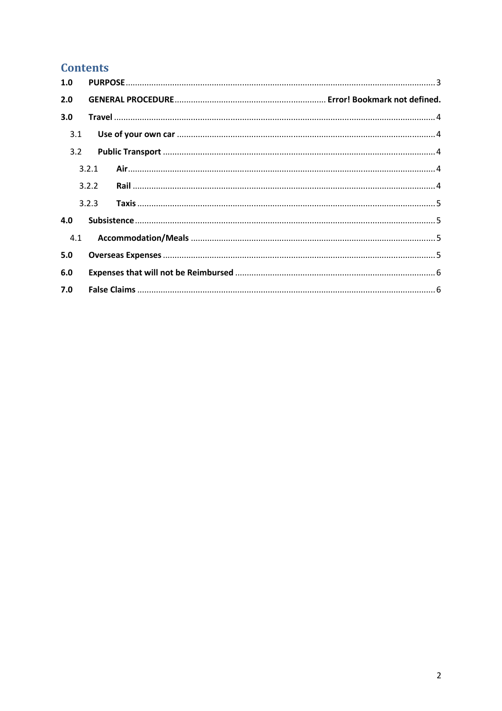# **Contents**

| 1.0 |       |  |  |  |
|-----|-------|--|--|--|
| 2.0 |       |  |  |  |
| 3.0 |       |  |  |  |
| 3.1 |       |  |  |  |
| 3.2 |       |  |  |  |
|     | 3.2.1 |  |  |  |
|     | 3.2.2 |  |  |  |
|     | 3.2.3 |  |  |  |
| 4.0 |       |  |  |  |
| 4.1 |       |  |  |  |
| 5.0 |       |  |  |  |
| 6.0 |       |  |  |  |
| 7.0 |       |  |  |  |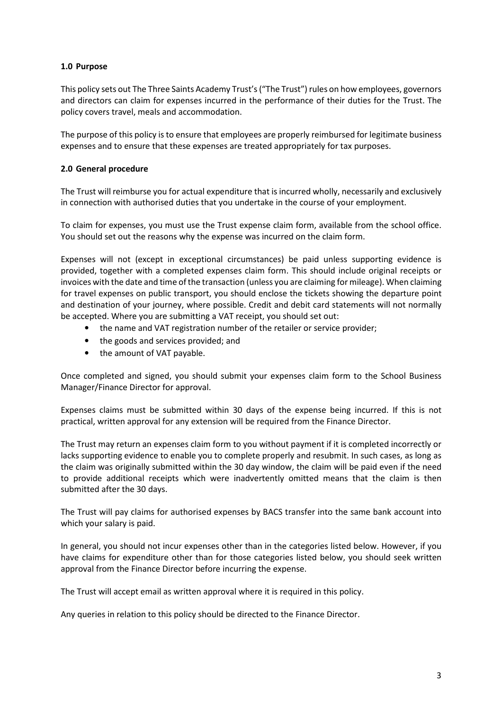## 1.0 Purpose

This policy sets out The Three Saints Academy Trust's ("The Trust") rules on how employees, governors and directors can claim for expenses incurred in the performance of their duties for the Trust. The policy covers travel, meals and accommodation.

The purpose of this policy is to ensure that employees are properly reimbursed for legitimate business expenses and to ensure that these expenses are treated appropriately for tax purposes.

#### 2.0 General procedure

The Trust will reimburse you for actual expenditure that is incurred wholly, necessarily and exclusively in connection with authorised duties that you undertake in the course of your employment.

To claim for expenses, you must use the Trust expense claim form, available from the school office. You should set out the reasons why the expense was incurred on the claim form.

Expenses will not (except in exceptional circumstances) be paid unless supporting evidence is provided, together with a completed expenses claim form. This should include original receipts or invoices with the date and time of the transaction (unless you are claiming for mileage). When claiming for travel expenses on public transport, you should enclose the tickets showing the departure point and destination of your journey, where possible. Credit and debit card statements will not normally be accepted. Where you are submitting a VAT receipt, you should set out:

- the name and VAT registration number of the retailer or service provider;
- the goods and services provided; and
- the amount of VAT payable.

Once completed and signed, you should submit your expenses claim form to the School Business Manager/Finance Director for approval.

Expenses claims must be submitted within 30 days of the expense being incurred. If this is not practical, written approval for any extension will be required from the Finance Director.

The Trust may return an expenses claim form to you without payment if it is completed incorrectly or lacks supporting evidence to enable you to complete properly and resubmit. In such cases, as long as the claim was originally submitted within the 30 day window, the claim will be paid even if the need to provide additional receipts which were inadvertently omitted means that the claim is then submitted after the 30 days.

The Trust will pay claims for authorised expenses by BACS transfer into the same bank account into which your salary is paid.

In general, you should not incur expenses other than in the categories listed below. However, if you have claims for expenditure other than for those categories listed below, you should seek written approval from the Finance Director before incurring the expense.

The Trust will accept email as written approval where it is required in this policy.

Any queries in relation to this policy should be directed to the Finance Director.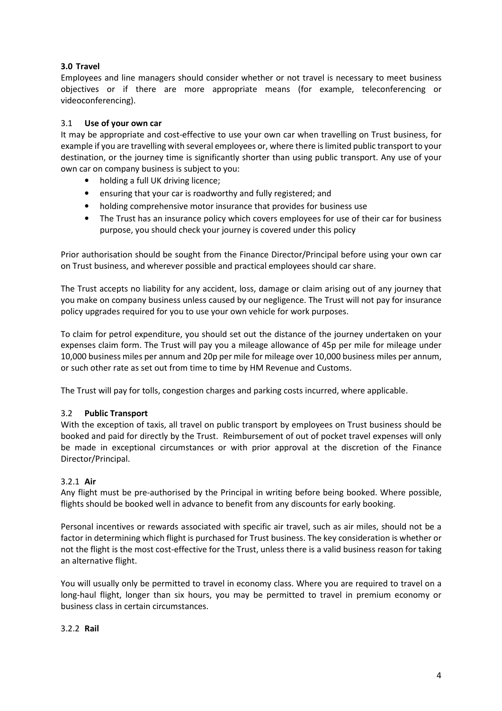## 3.0 Travel

Employees and line managers should consider whether or not travel is necessary to meet business objectives or if there are more appropriate means (for example, teleconferencing or videoconferencing).

## 3.1 Use of your own car

It may be appropriate and cost-effective to use your own car when travelling on Trust business, for example if you are travelling with several employees or, where there is limited public transport to your destination, or the journey time is significantly shorter than using public transport. Any use of your own car on company business is subject to you:

- holding a full UK driving licence;
- ensuring that your car is roadworthy and fully registered; and
- holding comprehensive motor insurance that provides for business use
- The Trust has an insurance policy which covers employees for use of their car for business purpose, you should check your journey is covered under this policy

Prior authorisation should be sought from the Finance Director/Principal before using your own car on Trust business, and wherever possible and practical employees should car share.

The Trust accepts no liability for any accident, loss, damage or claim arising out of any journey that you make on company business unless caused by our negligence. The Trust will not pay for insurance policy upgrades required for you to use your own vehicle for work purposes.

To claim for petrol expenditure, you should set out the distance of the journey undertaken on your expenses claim form. The Trust will pay you a mileage allowance of 45p per mile for mileage under 10,000 business miles per annum and 20p per mile for mileage over 10,000 business miles per annum, or such other rate as set out from time to time by HM Revenue and Customs.

The Trust will pay for tolls, congestion charges and parking costs incurred, where applicable.

#### 3.2 Public Transport

With the exception of taxis, all travel on public transport by employees on Trust business should be booked and paid for directly by the Trust. Reimbursement of out of pocket travel expenses will only be made in exceptional circumstances or with prior approval at the discretion of the Finance Director/Principal.

#### 3.2.1 Air

Any flight must be pre-authorised by the Principal in writing before being booked. Where possible, flights should be booked well in advance to benefit from any discounts for early booking.

Personal incentives or rewards associated with specific air travel, such as air miles, should not be a factor in determining which flight is purchased for Trust business. The key consideration is whether or not the flight is the most cost-effective for the Trust, unless there is a valid business reason for taking an alternative flight.

You will usually only be permitted to travel in economy class. Where you are required to travel on a long-haul flight, longer than six hours, you may be permitted to travel in premium economy or business class in certain circumstances.

#### 3.2.2 Rail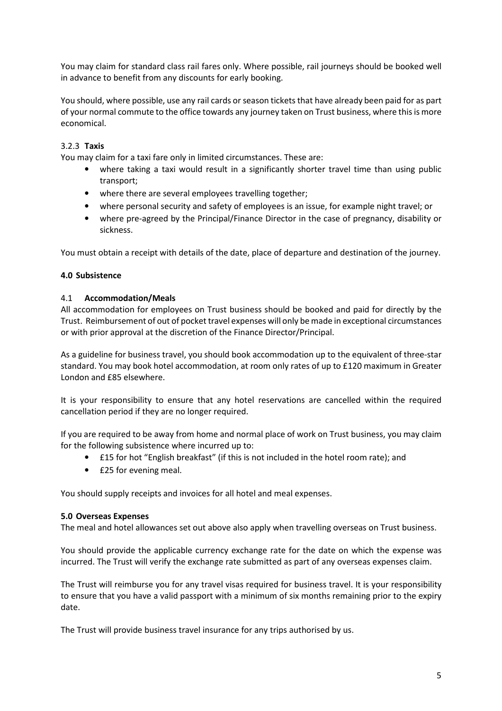You may claim for standard class rail fares only. Where possible, rail journeys should be booked well in advance to benefit from any discounts for early booking.

You should, where possible, use any rail cards or season tickets that have already been paid for as part of your normal commute to the office towards any journey taken on Trust business, where this is more economical.

# 3.2.3 Taxis

You may claim for a taxi fare only in limited circumstances. These are:

- where taking a taxi would result in a significantly shorter travel time than using public transport;
- where there are several employees travelling together;
- where personal security and safety of employees is an issue, for example night travel; or
- where pre-agreed by the Principal/Finance Director in the case of pregnancy, disability or sickness.

You must obtain a receipt with details of the date, place of departure and destination of the journey.

#### 4.0 Subsistence

#### 4.1 Accommodation/Meals

All accommodation for employees on Trust business should be booked and paid for directly by the Trust. Reimbursement of out of pocket travel expenses will only be made in exceptional circumstances or with prior approval at the discretion of the Finance Director/Principal.

As a guideline for business travel, you should book accommodation up to the equivalent of three-star standard. You may book hotel accommodation, at room only rates of up to £120 maximum in Greater London and £85 elsewhere.

It is your responsibility to ensure that any hotel reservations are cancelled within the required cancellation period if they are no longer required.

If you are required to be away from home and normal place of work on Trust business, you may claim for the following subsistence where incurred up to:

- £15 for hot "English breakfast" (if this is not included in the hotel room rate); and
- £25 for evening meal.

You should supply receipts and invoices for all hotel and meal expenses.

#### 5.0 Overseas Expenses

The meal and hotel allowances set out above also apply when travelling overseas on Trust business.

You should provide the applicable currency exchange rate for the date on which the expense was incurred. The Trust will verify the exchange rate submitted as part of any overseas expenses claim.

The Trust will reimburse you for any travel visas required for business travel. It is your responsibility to ensure that you have a valid passport with a minimum of six months remaining prior to the expiry date.

The Trust will provide business travel insurance for any trips authorised by us.